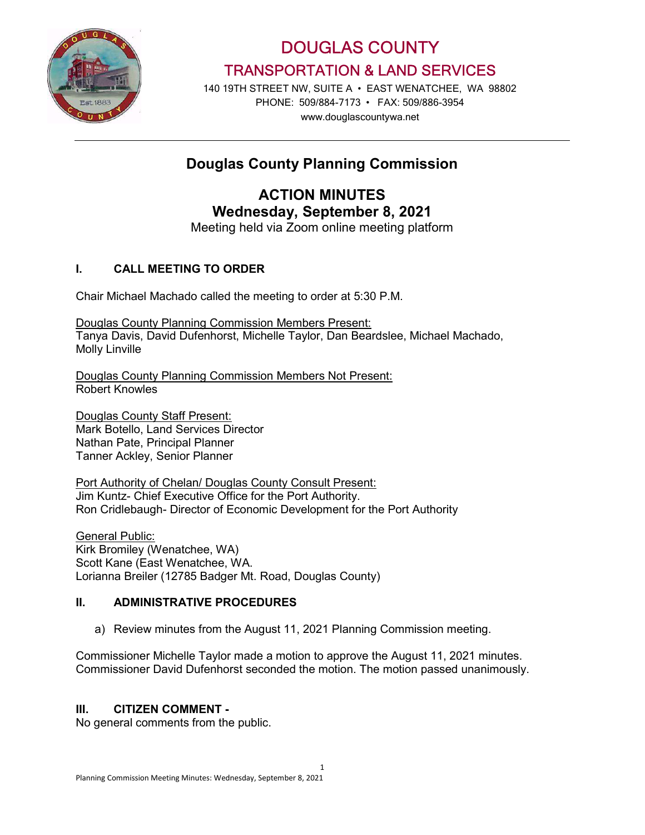

DOUGLAS COUNTY TRANSPORTATION & LAND SERVICES

140 19TH STREET NW, SUITE A • EAST WENATCHEE, WA 98802 PHONE: 509/884-7173 • FAX: 509/886-3954 www.douglascountywa.net

# Douglas County Planning Commission

ACTION MINUTES Wednesday, September 8, 2021

Meeting held via Zoom online meeting platform

## I. CALL MEETING TO ORDER

Chair Michael Machado called the meeting to order at 5:30 P.M.

Douglas County Planning Commission Members Present: Tanya Davis, David Dufenhorst, Michelle Taylor, Dan Beardslee, Michael Machado, Molly Linville

Douglas County Planning Commission Members Not Present: Robert Knowles

Douglas County Staff Present: Mark Botello, Land Services Director Nathan Pate, Principal Planner Tanner Ackley, Senior Planner

Port Authority of Chelan/ Douglas County Consult Present: Jim Kuntz- Chief Executive Office for the Port Authority. Ron Cridlebaugh- Director of Economic Development for the Port Authority

General Public: Kirk Bromiley (Wenatchee, WA) Scott Kane (East Wenatchee, WA. Lorianna Breiler (12785 Badger Mt. Road, Douglas County)

## II. ADMINISTRATIVE PROCEDURES

a) Review minutes from the August 11, 2021 Planning Commission meeting.

Commissioner Michelle Taylor made a motion to approve the August 11, 2021 minutes. Commissioner David Dufenhorst seconded the motion. The motion passed unanimously.

## III. CITIZEN COMMENT -

No general comments from the public.